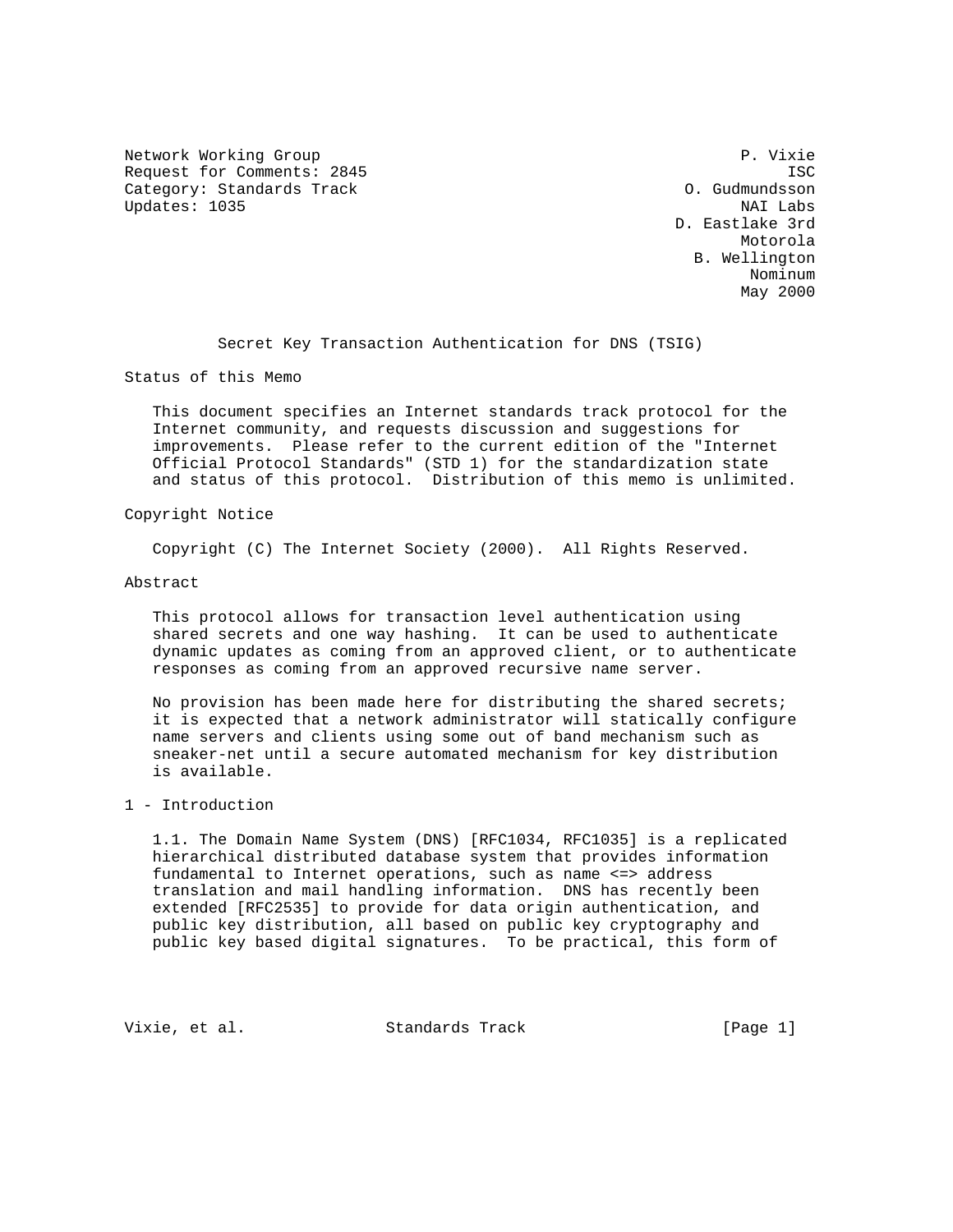Network Working Group **P. Visit Allen Communist Communist** P. Vixie Request for Comments: 2845 ISC Category: Standards Track Category: Standards Track Updates: 1035 NAI Labs

 D. Eastlake 3rd Motorola and Motorola and Motorola and Motorola and Motorola and Motorola and Motorola and Motorola and Motorola B. Wellington nominum and the contract of the contract of the contract of the contract of the contract of the contract of th May 2000 and the contract of the contract of the contract of the contract of the contract of the contract of the contract of the contract of the contract of the contract of the contract of the contract of the contract of t

Secret Key Transaction Authentication for DNS (TSIG)

Status of this Memo

 This document specifies an Internet standards track protocol for the Internet community, and requests discussion and suggestions for improvements. Please refer to the current edition of the "Internet Official Protocol Standards" (STD 1) for the standardization state and status of this protocol. Distribution of this memo is unlimited.

### Copyright Notice

Copyright (C) The Internet Society (2000). All Rights Reserved.

## Abstract

 This protocol allows for transaction level authentication using shared secrets and one way hashing. It can be used to authenticate dynamic updates as coming from an approved client, or to authenticate responses as coming from an approved recursive name server.

 No provision has been made here for distributing the shared secrets; it is expected that a network administrator will statically configure name servers and clients using some out of band mechanism such as sneaker-net until a secure automated mechanism for key distribution is available.

# 1 - Introduction

 1.1. The Domain Name System (DNS) [RFC1034, RFC1035] is a replicated hierarchical distributed database system that provides information fundamental to Internet operations, such as name <=> address translation and mail handling information. DNS has recently been extended [RFC2535] to provide for data origin authentication, and public key distribution, all based on public key cryptography and public key based digital signatures. To be practical, this form of

Vixie, et al. Standards Track [Page 1]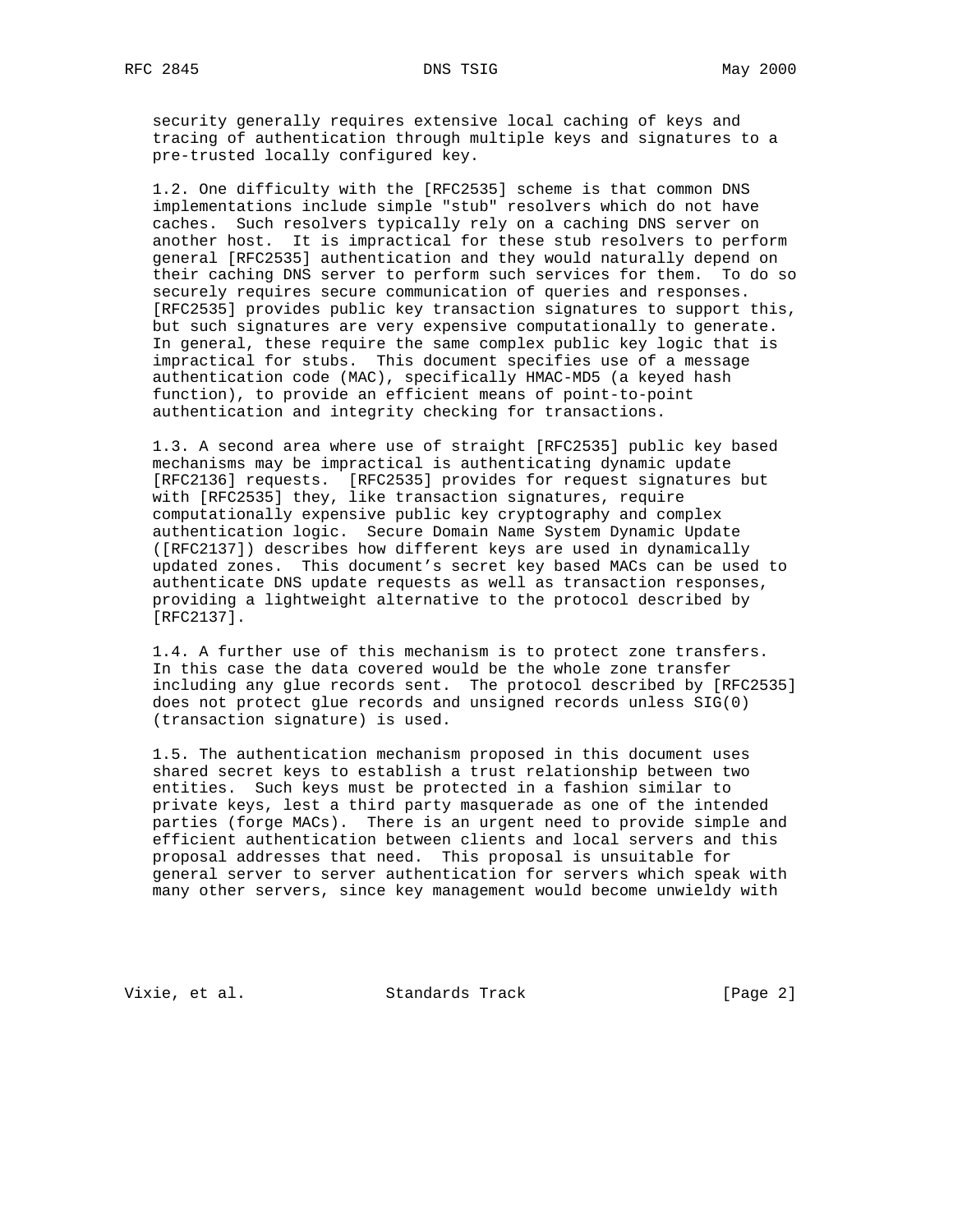security generally requires extensive local caching of keys and tracing of authentication through multiple keys and signatures to a pre-trusted locally configured key.

 1.2. One difficulty with the [RFC2535] scheme is that common DNS implementations include simple "stub" resolvers which do not have caches. Such resolvers typically rely on a caching DNS server on another host. It is impractical for these stub resolvers to perform general [RFC2535] authentication and they would naturally depend on their caching DNS server to perform such services for them. To do so securely requires secure communication of queries and responses. [RFC2535] provides public key transaction signatures to support this, but such signatures are very expensive computationally to generate. In general, these require the same complex public key logic that is impractical for stubs. This document specifies use of a message authentication code (MAC), specifically HMAC-MD5 (a keyed hash function), to provide an efficient means of point-to-point authentication and integrity checking for transactions.

 1.3. A second area where use of straight [RFC2535] public key based mechanisms may be impractical is authenticating dynamic update [RFC2136] requests. [RFC2535] provides for request signatures but with [RFC2535] they, like transaction signatures, require computationally expensive public key cryptography and complex authentication logic. Secure Domain Name System Dynamic Update ([RFC2137]) describes how different keys are used in dynamically updated zones. This document's secret key based MACs can be used to authenticate DNS update requests as well as transaction responses, providing a lightweight alternative to the protocol described by [RFC2137].

 1.4. A further use of this mechanism is to protect zone transfers. In this case the data covered would be the whole zone transfer including any glue records sent. The protocol described by [RFC2535] does not protect glue records and unsigned records unless SIG(0) (transaction signature) is used.

 1.5. The authentication mechanism proposed in this document uses shared secret keys to establish a trust relationship between two entities. Such keys must be protected in a fashion similar to private keys, lest a third party masquerade as one of the intended parties (forge MACs). There is an urgent need to provide simple and efficient authentication between clients and local servers and this proposal addresses that need. This proposal is unsuitable for general server to server authentication for servers which speak with many other servers, since key management would become unwieldy with

Vixie, et al. Standards Track [Page 2]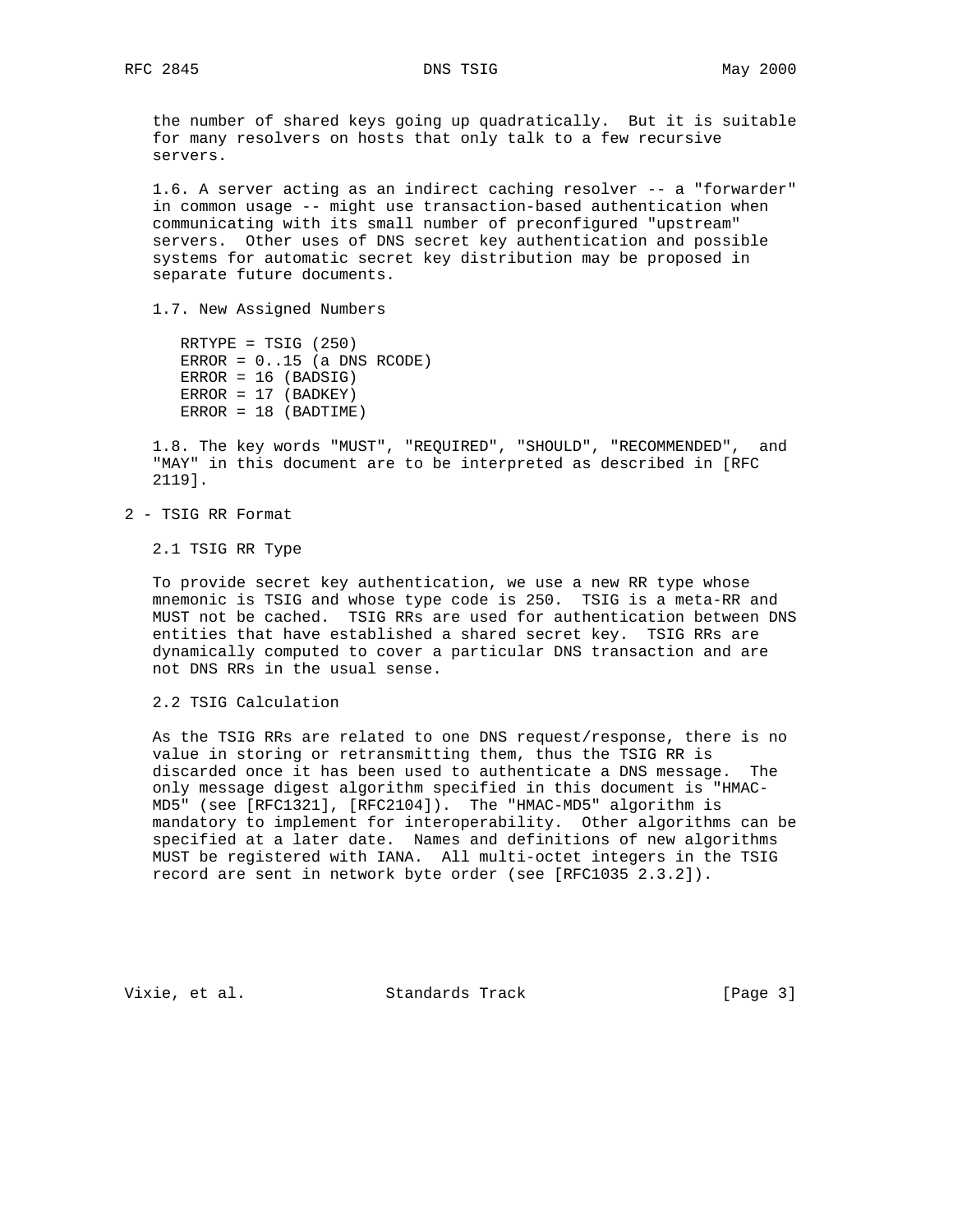the number of shared keys going up quadratically. But it is suitable for many resolvers on hosts that only talk to a few recursive servers.

 1.6. A server acting as an indirect caching resolver -- a "forwarder" in common usage -- might use transaction-based authentication when communicating with its small number of preconfigured "upstream" servers. Other uses of DNS secret key authentication and possible systems for automatic secret key distribution may be proposed in separate future documents.

1.7. New Assigned Numbers

 RRTYPE = TSIG (250) ERROR =  $0..15$  (a DNS RCODE)  $ERROR = 16 (BADSIG)$  $ERROR = 17 (BADKEY)$ ERROR = 18 (BADTIME)

 1.8. The key words "MUST", "REQUIRED", "SHOULD", "RECOMMENDED", and "MAY" in this document are to be interpreted as described in [RFC 2119].

2 - TSIG RR Format

2.1 TSIG RR Type

 To provide secret key authentication, we use a new RR type whose mnemonic is TSIG and whose type code is 250. TSIG is a meta-RR and MUST not be cached. TSIG RRs are used for authentication between DNS entities that have established a shared secret key. TSIG RRs are dynamically computed to cover a particular DNS transaction and are not DNS RRs in the usual sense.

2.2 TSIG Calculation

 As the TSIG RRs are related to one DNS request/response, there is no value in storing or retransmitting them, thus the TSIG RR is discarded once it has been used to authenticate a DNS message. The only message digest algorithm specified in this document is "HMAC- MD5" (see [RFC1321], [RFC2104]). The "HMAC-MD5" algorithm is mandatory to implement for interoperability. Other algorithms can be specified at a later date. Names and definitions of new algorithms MUST be registered with IANA. All multi-octet integers in the TSIG record are sent in network byte order (see [RFC1035 2.3.2]).

Vixie, et al. Standards Track [Page 3]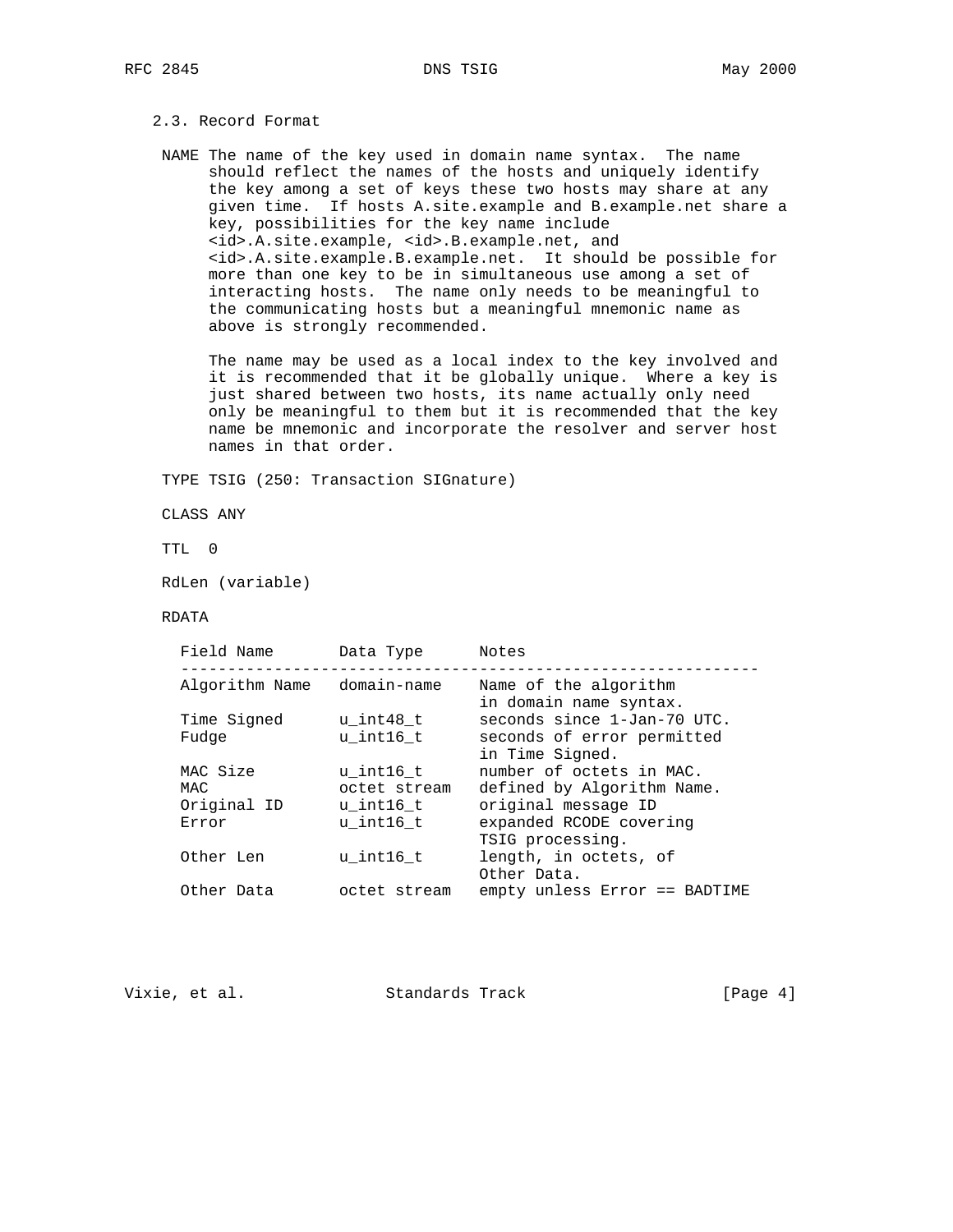# 2.3. Record Format

 NAME The name of the key used in domain name syntax. The name should reflect the names of the hosts and uniquely identify the key among a set of keys these two hosts may share at any given time. If hosts A.site.example and B.example.net share a key, possibilities for the key name include <id>.A.site.example, <id>.B.example.net, and <id>.A.site.example.B.example.net. It should be possible for more than one key to be in simultaneous use among a set of interacting hosts. The name only needs to be meaningful to the communicating hosts but a meaningful mnemonic name as above is strongly recommended.

 The name may be used as a local index to the key involved and it is recommended that it be globally unique. Where a key is just shared between two hosts, its name actually only need only be meaningful to them but it is recommended that the key name be mnemonic and incorporate the resolver and server host names in that order.

TYPE TSIG (250: Transaction SIGnature)

CLASS ANY

TTL 0

RdLen (variable)

#### RDATA

| Algorithm Name domain-name<br>Name of the algorithm<br>in domain name syntax.<br>seconds since 1-Jan-70 UTC.<br>Time Signed<br>u int48 t                                                                                       |  |
|--------------------------------------------------------------------------------------------------------------------------------------------------------------------------------------------------------------------------------|--|
|                                                                                                                                                                                                                                |  |
| seconds of error permitted<br>u int16 t<br>Fudge<br>in Time Signed.                                                                                                                                                            |  |
| number of octets in MAC.<br>MAC Size<br>u int16 t<br>defined by Algorithm Name.<br>octet stream<br>MAC<br>Original ID<br>original message ID<br>u int16 t<br>expanded RCODE covering<br>u int16 t<br>Error<br>TSIG processing. |  |
| length, in octets, of<br>u int16 t<br>Other Len<br>Other Data.                                                                                                                                                                 |  |
| empty unless Error == BADTIME<br>Other Data<br>octet stream                                                                                                                                                                    |  |

Vixie, et al. Standards Track [Page 4]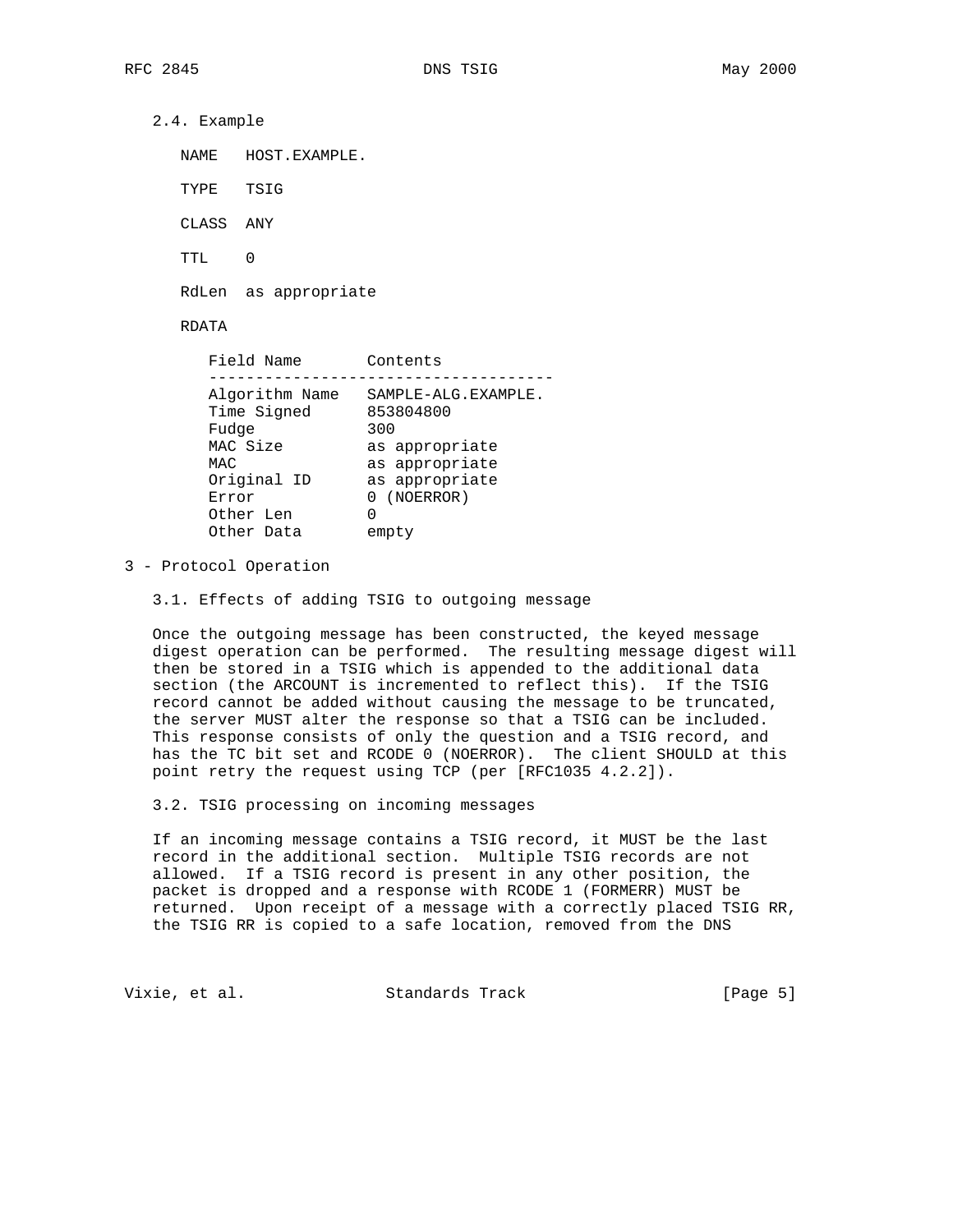2.4. Example

| NAMF.     | HOST.EXAMPLE. |
|-----------|---------------|
| TYPE TSIG |               |
| CLASS ANY |               |
| TTT.      |               |

RdLen as appropriate

# RDATA

| Field Name     | Contents            |
|----------------|---------------------|
|                |                     |
| Algorithm Name | SAMPLE-ALG.EXAMPLE. |
| Time Signed    | 853804800           |
| Fudge          | 300                 |
| MAC Size       | as appropriate      |
| MAC            | as appropriate      |
| Original ID    | as appropriate      |
| Error          | 0 (NOERROR)         |
| Other Len      | 0                   |
| Other Data     | empty               |
|                |                     |

#### 3 - Protocol Operation

3.1. Effects of adding TSIG to outgoing message

 Once the outgoing message has been constructed, the keyed message digest operation can be performed. The resulting message digest will then be stored in a TSIG which is appended to the additional data section (the ARCOUNT is incremented to reflect this). If the TSIG record cannot be added without causing the message to be truncated, the server MUST alter the response so that a TSIG can be included. This response consists of only the question and a TSIG record, and has the TC bit set and RCODE 0 (NOERROR). The client SHOULD at this point retry the request using TCP (per [RFC1035 4.2.2]).

3.2. TSIG processing on incoming messages

 If an incoming message contains a TSIG record, it MUST be the last record in the additional section. Multiple TSIG records are not allowed. If a TSIG record is present in any other position, the packet is dropped and a response with RCODE 1 (FORMERR) MUST be returned. Upon receipt of a message with a correctly placed TSIG RR, the TSIG RR is copied to a safe location, removed from the DNS

Vixie, et al. Standards Track [Page 5]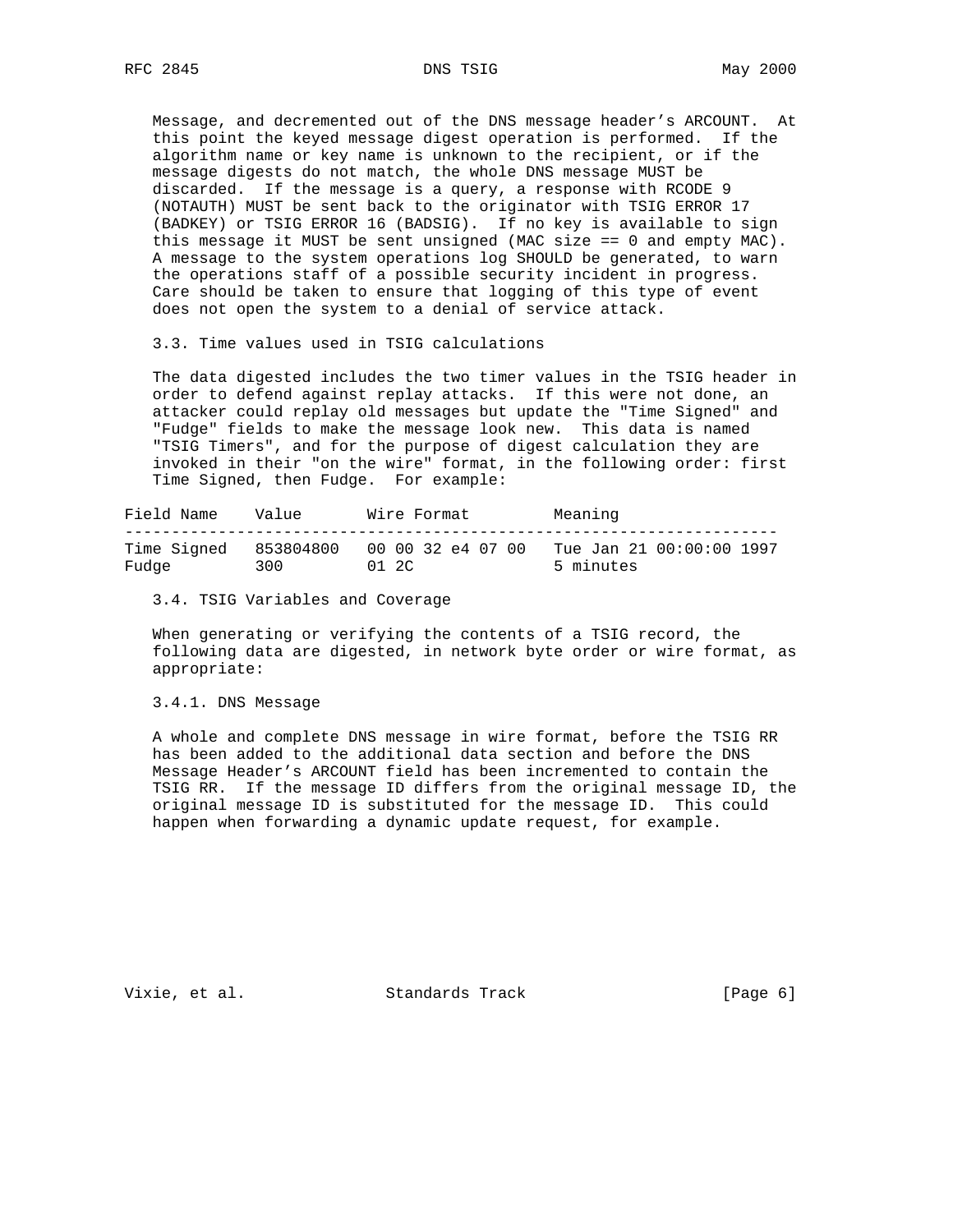Message, and decremented out of the DNS message header's ARCOUNT. At this point the keyed message digest operation is performed. If the algorithm name or key name is unknown to the recipient, or if the message digests do not match, the whole DNS message MUST be discarded. If the message is a query, a response with RCODE 9 (NOTAUTH) MUST be sent back to the originator with TSIG ERROR 17 (BADKEY) or TSIG ERROR 16 (BADSIG). If no key is available to sign this message it MUST be sent unsigned (MAC size == 0 and empty MAC). A message to the system operations log SHOULD be generated, to warn the operations staff of a possible security incident in progress. Care should be taken to ensure that logging of this type of event does not open the system to a denial of service attack.

3.3. Time values used in TSIG calculations

 The data digested includes the two timer values in the TSIG header in order to defend against replay attacks. If this were not done, an attacker could replay old messages but update the "Time Signed" and "Fudge" fields to make the message look new. This data is named "TSIG Timers", and for the purpose of digest calculation they are invoked in their "on the wire" format, in the following order: first Time Signed, then Fudge. For example:

Field Name Value Wire Format Meaning ---------------------------------------------------------------------- Time Signed 853804800 00 00 32 e4 07 00 Tue Jan 21 00:00:00 1997 Fudge 300 01 2C 5 minutes

3.4. TSIG Variables and Coverage

 When generating or verifying the contents of a TSIG record, the following data are digested, in network byte order or wire format, as appropriate:

#### 3.4.1. DNS Message

 A whole and complete DNS message in wire format, before the TSIG RR has been added to the additional data section and before the DNS Message Header's ARCOUNT field has been incremented to contain the TSIG RR. If the message ID differs from the original message ID, the original message ID is substituted for the message ID. This could happen when forwarding a dynamic update request, for example.

Vixie, et al. Standards Track [Page 6]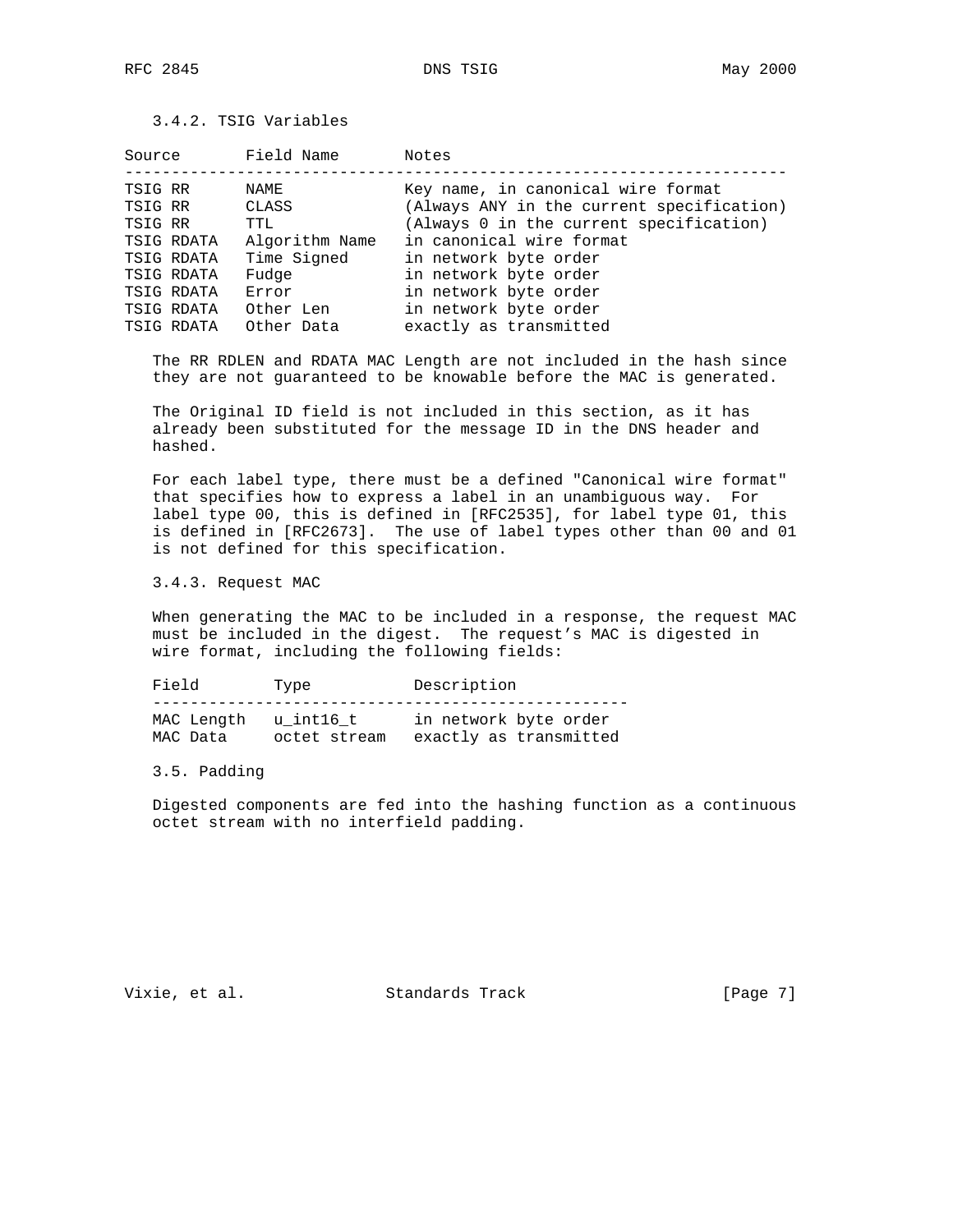3.4.2. TSIG Variables

| Source  |            | Field Name     | Notes                                     |
|---------|------------|----------------|-------------------------------------------|
|         |            |                |                                           |
| TSIG RR |            | NAME           | Key name, in canonical wire format        |
| TSIG RR |            | CLASS          | (Always ANY in the current specification) |
| TSIG RR |            | TTL            | (Always 0 in the current specification)   |
|         | TSIG RDATA | Algorithm Name | in canonical wire format                  |
|         | TSIG RDATA | Time Signed    | in network byte order                     |
|         | TSIG RDATA | Fudge          | in network byte order                     |
|         | TSIG RDATA | Error          | in network byte order                     |
|         | TSIG RDATA | Other Len      | in network byte order                     |
|         | TSIG RDATA | Other Data     | exactly as transmitted                    |

 The RR RDLEN and RDATA MAC Length are not included in the hash since they are not guaranteed to be knowable before the MAC is generated.

 The Original ID field is not included in this section, as it has already been substituted for the message ID in the DNS header and hashed.

 For each label type, there must be a defined "Canonical wire format" that specifies how to express a label in an unambiguous way. For label type 00, this is defined in [RFC2535], for label type 01, this is defined in [RFC2673]. The use of label types other than 00 and 01 is not defined for this specification.

3.4.3. Request MAC

 When generating the MAC to be included in a response, the request MAC must be included in the digest. The request's MAC is digested in wire format, including the following fields:

Field Type Description --------------------------------------------------- MAC Length u\_int16\_t in network byte order MAC Data octet stream exactly as transmitted

#### 3.5. Padding

 Digested components are fed into the hashing function as a continuous octet stream with no interfield padding.

Vixie, et al. Standards Track [Page 7]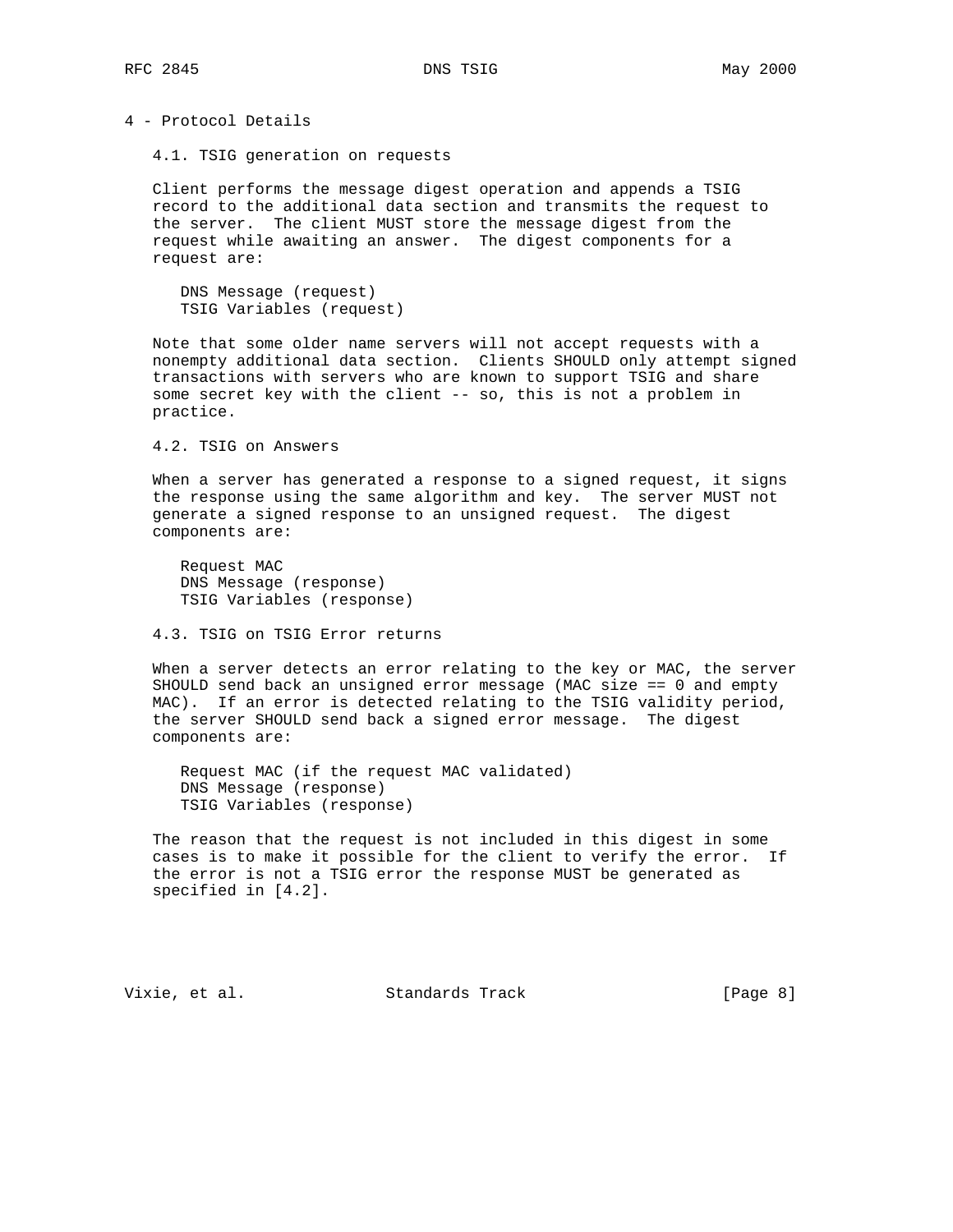4 - Protocol Details

4.1. TSIG generation on requests

 Client performs the message digest operation and appends a TSIG record to the additional data section and transmits the request to the server. The client MUST store the message digest from the request while awaiting an answer. The digest components for a request are:

 DNS Message (request) TSIG Variables (request)

 Note that some older name servers will not accept requests with a nonempty additional data section. Clients SHOULD only attempt signed transactions with servers who are known to support TSIG and share some secret key with the client -- so, this is not a problem in practice.

4.2. TSIG on Answers

 When a server has generated a response to a signed request, it signs the response using the same algorithm and key. The server MUST not generate a signed response to an unsigned request. The digest components are:

 Request MAC DNS Message (response) TSIG Variables (response)

4.3. TSIG on TSIG Error returns

 When a server detects an error relating to the key or MAC, the server SHOULD send back an unsigned error message (MAC size == 0 and empty MAC). If an error is detected relating to the TSIG validity period, the server SHOULD send back a signed error message. The digest components are:

 Request MAC (if the request MAC validated) DNS Message (response) TSIG Variables (response)

 The reason that the request is not included in this digest in some cases is to make it possible for the client to verify the error. If the error is not a TSIG error the response MUST be generated as specified in [4.2].

Vixie, et al. Standards Track [Page 8]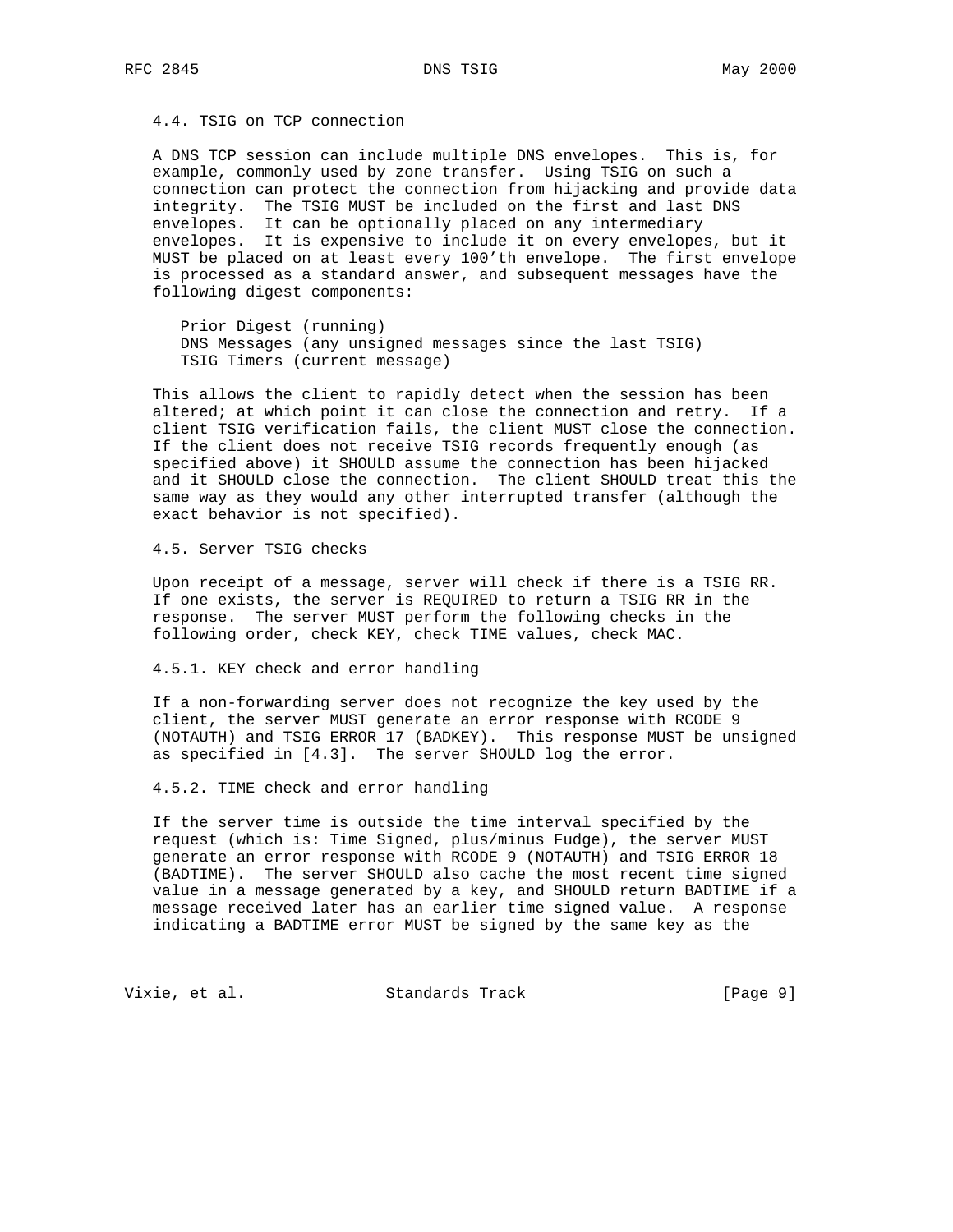4.4. TSIG on TCP connection

 A DNS TCP session can include multiple DNS envelopes. This is, for example, commonly used by zone transfer. Using TSIG on such a connection can protect the connection from hijacking and provide data integrity. The TSIG MUST be included on the first and last DNS envelopes. It can be optionally placed on any intermediary envelopes. It is expensive to include it on every envelopes, but it MUST be placed on at least every 100'th envelope. The first envelope is processed as a standard answer, and subsequent messages have the following digest components:

 Prior Digest (running) DNS Messages (any unsigned messages since the last TSIG) TSIG Timers (current message)

 This allows the client to rapidly detect when the session has been altered; at which point it can close the connection and retry. If a client TSIG verification fails, the client MUST close the connection. If the client does not receive TSIG records frequently enough (as specified above) it SHOULD assume the connection has been hijacked and it SHOULD close the connection. The client SHOULD treat this the same way as they would any other interrupted transfer (although the exact behavior is not specified).

4.5. Server TSIG checks

 Upon receipt of a message, server will check if there is a TSIG RR. If one exists, the server is REQUIRED to return a TSIG RR in the response. The server MUST perform the following checks in the following order, check KEY, check TIME values, check MAC.

4.5.1. KEY check and error handling

 If a non-forwarding server does not recognize the key used by the client, the server MUST generate an error response with RCODE 9 (NOTAUTH) and TSIG ERROR 17 (BADKEY). This response MUST be unsigned as specified in [4.3]. The server SHOULD log the error.

4.5.2. TIME check and error handling

 If the server time is outside the time interval specified by the request (which is: Time Signed, plus/minus Fudge), the server MUST generate an error response with RCODE 9 (NOTAUTH) and TSIG ERROR 18 (BADTIME). The server SHOULD also cache the most recent time signed value in a message generated by a key, and SHOULD return BADTIME if a message received later has an earlier time signed value. A response indicating a BADTIME error MUST be signed by the same key as the

Vixie, et al. Standards Track [Page 9]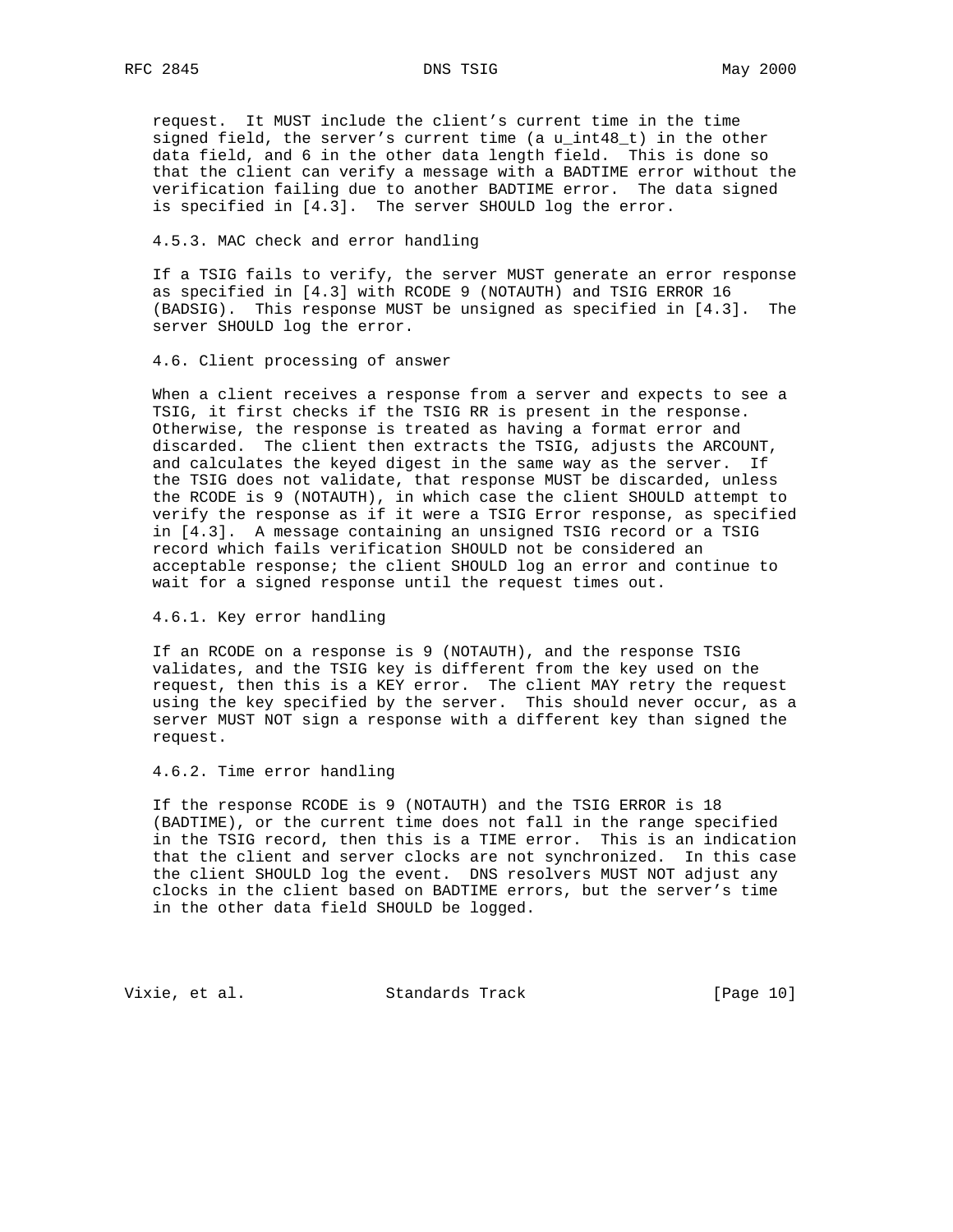request. It MUST include the client's current time in the time signed field, the server's current time (a u\_int48\_t) in the other data field, and 6 in the other data length field. This is done so that the client can verify a message with a BADTIME error without the verification failing due to another BADTIME error. The data signed is specified in [4.3]. The server SHOULD log the error.

#### 4.5.3. MAC check and error handling

 If a TSIG fails to verify, the server MUST generate an error response as specified in [4.3] with RCODE 9 (NOTAUTH) and TSIG ERROR 16 (BADSIG). This response MUST be unsigned as specified in [4.3]. The server SHOULD log the error.

### 4.6. Client processing of answer

 When a client receives a response from a server and expects to see a TSIG, it first checks if the TSIG RR is present in the response. Otherwise, the response is treated as having a format error and discarded. The client then extracts the TSIG, adjusts the ARCOUNT, and calculates the keyed digest in the same way as the server. If the TSIG does not validate, that response MUST be discarded, unless the RCODE is 9 (NOTAUTH), in which case the client SHOULD attempt to verify the response as if it were a TSIG Error response, as specified in [4.3]. A message containing an unsigned TSIG record or a TSIG record which fails verification SHOULD not be considered an acceptable response; the client SHOULD log an error and continue to wait for a signed response until the request times out.

4.6.1. Key error handling

 If an RCODE on a response is 9 (NOTAUTH), and the response TSIG validates, and the TSIG key is different from the key used on the request, then this is a KEY error. The client MAY retry the request using the key specified by the server. This should never occur, as a server MUST NOT sign a response with a different key than signed the request.

4.6.2. Time error handling

 If the response RCODE is 9 (NOTAUTH) and the TSIG ERROR is 18 (BADTIME), or the current time does not fall in the range specified in the TSIG record, then this is a TIME error. This is an indication that the client and server clocks are not synchronized. In this case the client SHOULD log the event. DNS resolvers MUST NOT adjust any clocks in the client based on BADTIME errors, but the server's time in the other data field SHOULD be logged.

Vixie, et al. Standards Track [Page 10]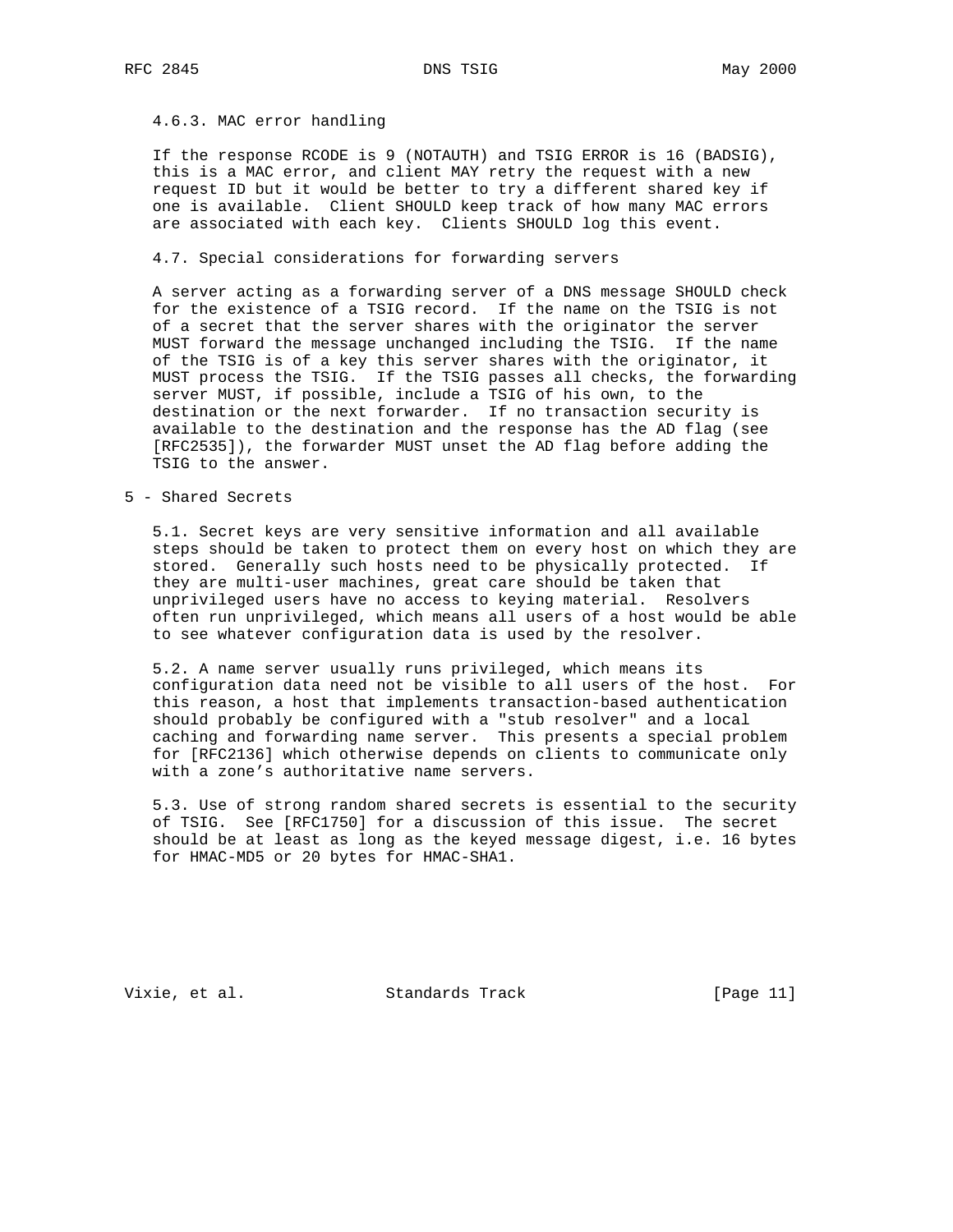## 4.6.3. MAC error handling

 If the response RCODE is 9 (NOTAUTH) and TSIG ERROR is 16 (BADSIG), this is a MAC error, and client MAY retry the request with a new request ID but it would be better to try a different shared key if one is available. Client SHOULD keep track of how many MAC errors are associated with each key. Clients SHOULD log this event.

#### 4.7. Special considerations for forwarding servers

 A server acting as a forwarding server of a DNS message SHOULD check for the existence of a TSIG record. If the name on the TSIG is not of a secret that the server shares with the originator the server MUST forward the message unchanged including the TSIG. If the name of the TSIG is of a key this server shares with the originator, it MUST process the TSIG. If the TSIG passes all checks, the forwarding server MUST, if possible, include a TSIG of his own, to the destination or the next forwarder. If no transaction security is available to the destination and the response has the AD flag (see [RFC2535]), the forwarder MUST unset the AD flag before adding the TSIG to the answer.

#### 5 - Shared Secrets

 5.1. Secret keys are very sensitive information and all available steps should be taken to protect them on every host on which they are stored. Generally such hosts need to be physically protected. If they are multi-user machines, great care should be taken that unprivileged users have no access to keying material. Resolvers often run unprivileged, which means all users of a host would be able to see whatever configuration data is used by the resolver.

 5.2. A name server usually runs privileged, which means its configuration data need not be visible to all users of the host. For this reason, a host that implements transaction-based authentication should probably be configured with a "stub resolver" and a local caching and forwarding name server. This presents a special problem for [RFC2136] which otherwise depends on clients to communicate only with a zone's authoritative name servers.

 5.3. Use of strong random shared secrets is essential to the security of TSIG. See [RFC1750] for a discussion of this issue. The secret should be at least as long as the keyed message digest, i.e. 16 bytes for HMAC-MD5 or 20 bytes for HMAC-SHA1.

Vixie, et al. Standards Track [Page 11]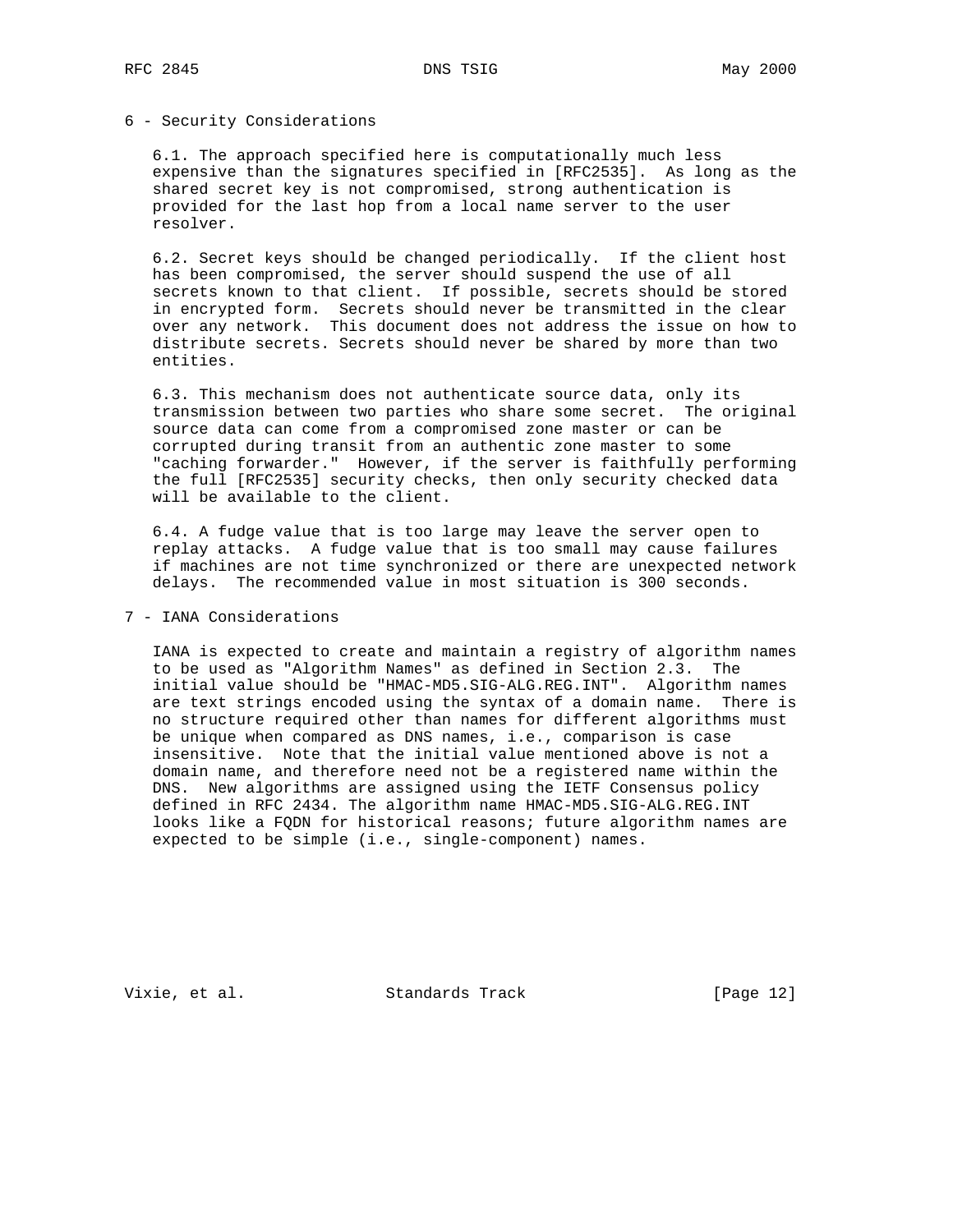## 6 - Security Considerations

 6.1. The approach specified here is computationally much less expensive than the signatures specified in [RFC2535]. As long as the shared secret key is not compromised, strong authentication is provided for the last hop from a local name server to the user resolver.

 6.2. Secret keys should be changed periodically. If the client host has been compromised, the server should suspend the use of all secrets known to that client. If possible, secrets should be stored in encrypted form. Secrets should never be transmitted in the clear over any network. This document does not address the issue on how to distribute secrets. Secrets should never be shared by more than two entities.

 6.3. This mechanism does not authenticate source data, only its transmission between two parties who share some secret. The original source data can come from a compromised zone master or can be corrupted during transit from an authentic zone master to some "caching forwarder." However, if the server is faithfully performing the full [RFC2535] security checks, then only security checked data will be available to the client.

 6.4. A fudge value that is too large may leave the server open to replay attacks. A fudge value that is too small may cause failures if machines are not time synchronized or there are unexpected network delays. The recommended value in most situation is 300 seconds.

## 7 - IANA Considerations

 IANA is expected to create and maintain a registry of algorithm names to be used as "Algorithm Names" as defined in Section 2.3. The initial value should be "HMAC-MD5.SIG-ALG.REG.INT". Algorithm names are text strings encoded using the syntax of a domain name. There is no structure required other than names for different algorithms must be unique when compared as DNS names, i.e., comparison is case insensitive. Note that the initial value mentioned above is not a domain name, and therefore need not be a registered name within the DNS. New algorithms are assigned using the IETF Consensus policy defined in RFC 2434. The algorithm name HMAC-MD5.SIG-ALG.REG.INT looks like a FQDN for historical reasons; future algorithm names are expected to be simple (i.e., single-component) names.

Vixie, et al. Standards Track [Page 12]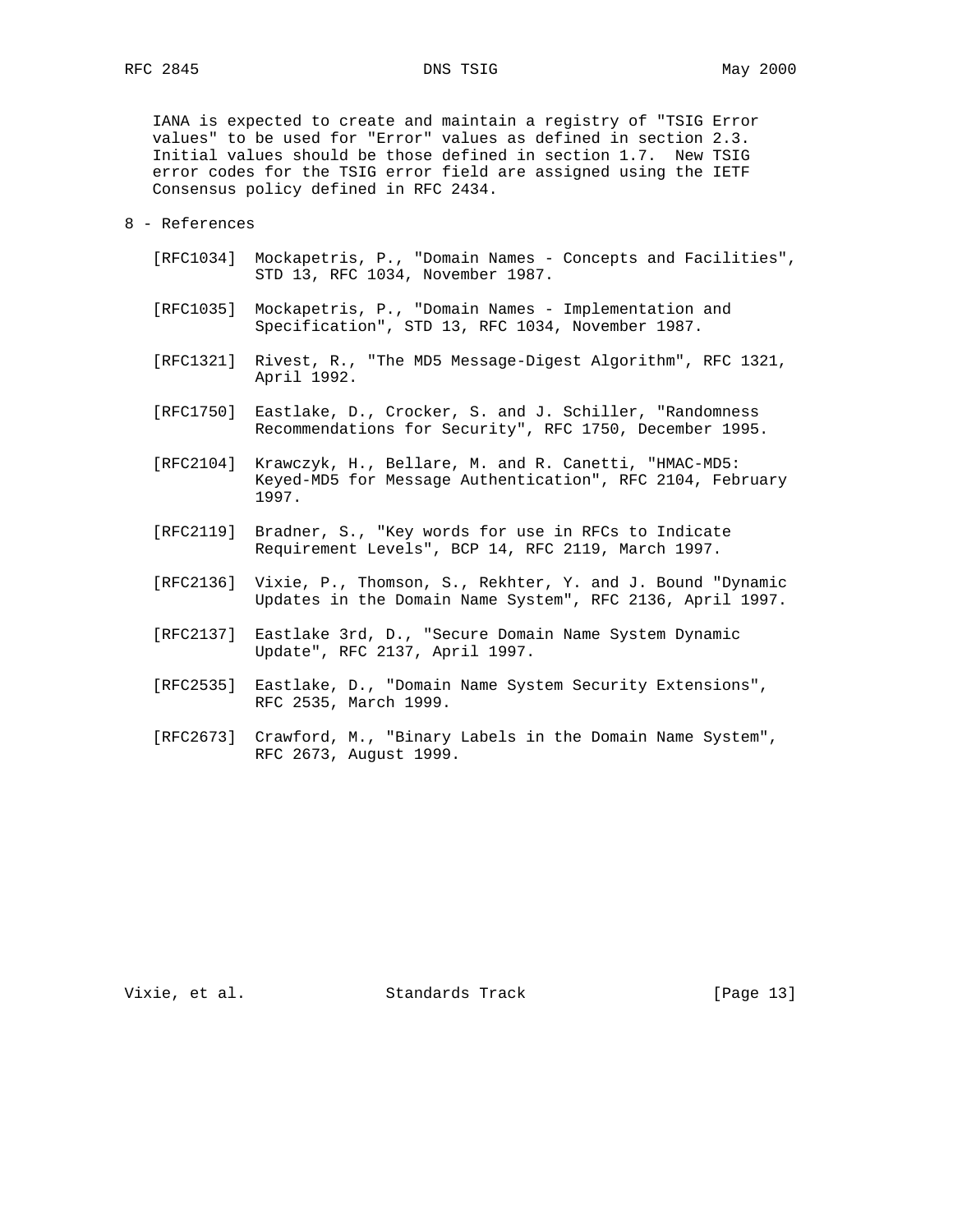IANA is expected to create and maintain a registry of "TSIG Error values" to be used for "Error" values as defined in section 2.3. Initial values should be those defined in section 1.7. New TSIG error codes for the TSIG error field are assigned using the IETF Consensus policy defined in RFC 2434.

#### 8 - References

- [RFC1034] Mockapetris, P., "Domain Names Concepts and Facilities", STD 13, RFC 1034, November 1987.
- [RFC1035] Mockapetris, P., "Domain Names Implementation and Specification", STD 13, RFC 1034, November 1987.
- [RFC1321] Rivest, R., "The MD5 Message-Digest Algorithm", RFC 1321, April 1992.
- [RFC1750] Eastlake, D., Crocker, S. and J. Schiller, "Randomness Recommendations for Security", RFC 1750, December 1995.
- [RFC2104] Krawczyk, H., Bellare, M. and R. Canetti, "HMAC-MD5: Keyed-MD5 for Message Authentication", RFC 2104, February 1997.
- [RFC2119] Bradner, S., "Key words for use in RFCs to Indicate Requirement Levels", BCP 14, RFC 2119, March 1997.
- [RFC2136] Vixie, P., Thomson, S., Rekhter, Y. and J. Bound "Dynamic Updates in the Domain Name System", RFC 2136, April 1997.
- [RFC2137] Eastlake 3rd, D., "Secure Domain Name System Dynamic Update", RFC 2137, April 1997.
- [RFC2535] Eastlake, D., "Domain Name System Security Extensions", RFC 2535, March 1999.
- [RFC2673] Crawford, M., "Binary Labels in the Domain Name System", RFC 2673, August 1999.

Vixie, et al. Standards Track [Page 13]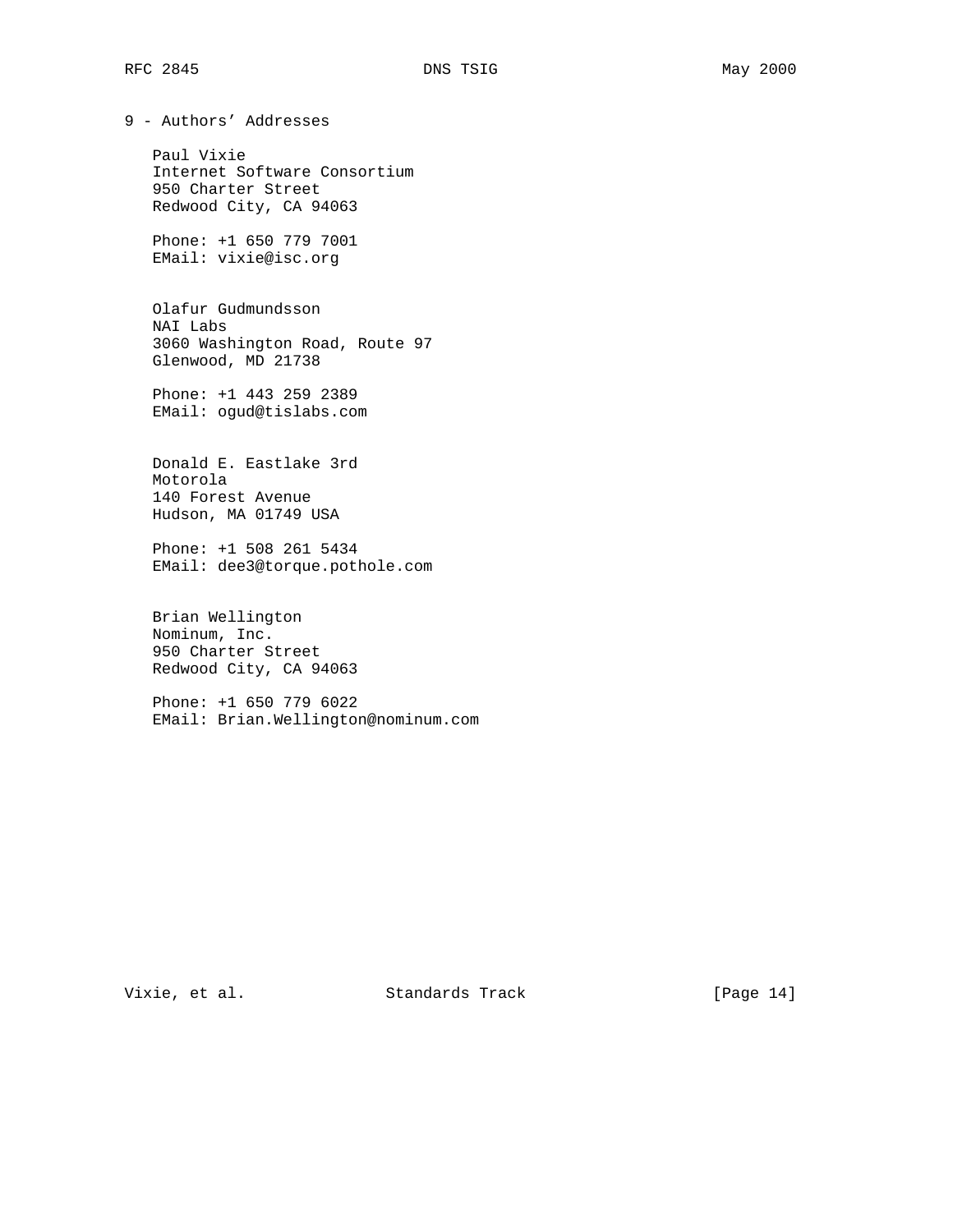9 - Authors' Addresses

 Paul Vixie Internet Software Consortium 950 Charter Street Redwood City, CA 94063

 Phone: +1 650 779 7001 EMail: vixie@isc.org

 Olafur Gudmundsson NAI Labs 3060 Washington Road, Route 97 Glenwood, MD 21738

 Phone: +1 443 259 2389 EMail: ogud@tislabs.com

 Donald E. Eastlake 3rd Motorola 140 Forest Avenue Hudson, MA 01749 USA

 Phone: +1 508 261 5434 EMail: dee3@torque.pothole.com

 Brian Wellington Nominum, Inc. 950 Charter Street Redwood City, CA 94063

 Phone: +1 650 779 6022 EMail: Brian.Wellington@nominum.com

Vixie, et al. Standards Track [Page 14]